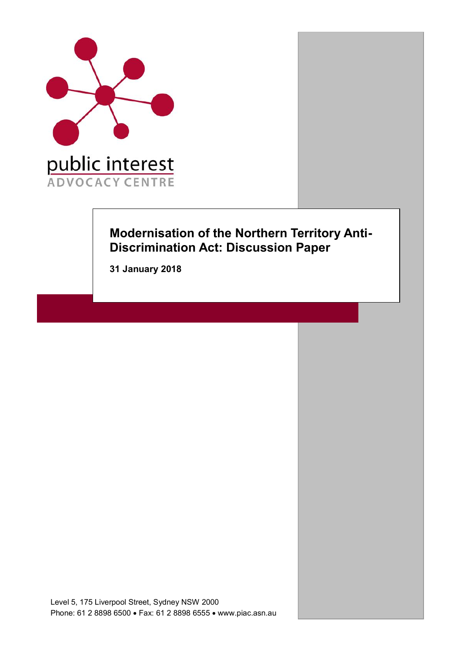

# **Modernisation of the Northern Territory Anti-Discrimination Act: Discussion Paper**

**31 January 2018**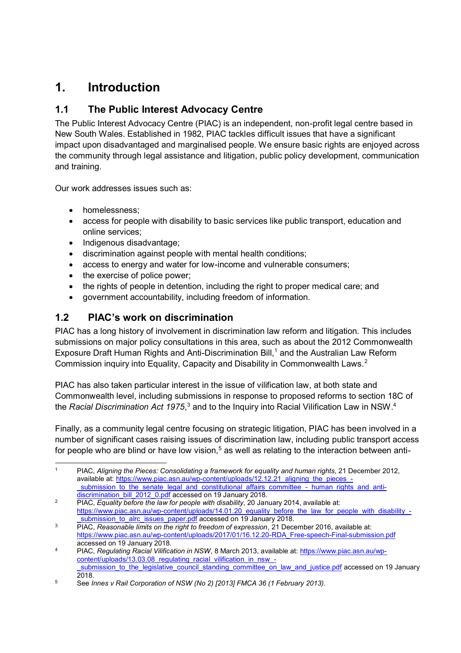# **1. Introduction**

## **1.1 The Public Interest Advocacy Centre**

The Public Interest Advocacy Centre (PIAC) is an independent, non-profit legal centre based in New South Wales. Established in 1982, PIAC tackles difficult issues that have a significant impact upon disadvantaged and marginalised people. We ensure basic rights are enjoyed across the community through legal assistance and litigation, public policy development, communication and training.

Our work addresses issues such as:

- homelessness:
- access for people with disability to basic services like public transport, education and online services;
- Indigenous disadvantage;
- discrimination against people with mental health conditions;
- access to energy and water for low-income and vulnerable consumers;
- the exercise of police power;
- the rights of people in detention, including the right to proper medical care; and
- government accountability, including freedom of information.

## **1.2 PIAC's work on discrimination**

PIAC has a long history of involvement in discrimination law reform and litigation. This includes submissions on major policy consultations in this area, such as about the 2012 Commonwealth Exposure Draft Human Rights and Anti-Discrimination Bill,<sup>1</sup> and the Australian Law Reform Commission inquiry into Equality, Capacity and Disability in Commonwealth Laws.2

PIAC has also taken particular interest in the issue of vilification law, at both state and Commonwealth level, including submissions in response to proposed reforms to section 18C of the *Racial Discrimination Act 1975*,<sup>3</sup> and to the Inquiry into Racial Vilification Law in NSW.<sup>4</sup>

Finally, as a community legal centre focusing on strategic litigation, PIAC has been involved in a number of significant cases raising issues of discrimination law, including public transport access for people who are blind or have low vision,<sup>5</sup> as well as relating to the interaction between anti-

[discrimination\\_bill\\_2012\\_0.pdf](https://www.piac.asn.au/wp-content/uploads/12.12.21_aligning_the_pieces_-_submission_to_the_senate_legal_and_constitutional_affairs_committee_-_human_rights_and_anti-discrimination_bill_2012_0.pdf) accessed on 19 January 2018.

 <sup>1</sup> PIAC, *Aligning the Pieces: Consolidating a framework for equality and human rights*, 21 December 2012, available at: [https://www.piac.asn.au/wp-content/uploads/12.12.21\\_aligning\\_the\\_pieces\\_-](https://www.piac.asn.au/wp-content/uploads/12.12.21_aligning_the_pieces_-_submission_to_the_senate_legal_and_constitutional_affairs_committee_-_human_rights_and_anti-discrimination_bill_2012_0.pdf) \_submission to the senate legal and constitutional affairs committee - human rights and anti-

<sup>2</sup> PIAC, *Equality before the law for people with disability*, 20 January 2014, available at: https://www.piac.asn.au/wp-content/uploads/14.01.20 equality before the law for people with disability submission to alrc issues paper.pdf accessed on 19 January 2018.

<sup>3</sup> PIAC, *Reasonable limits on the right to freedom of expression*, 21 December 2016, available at: [https://www.piac.asn.au/wp-content/uploads/2017/01/16.12.20-RDA\\_Free-speech-Final-submission.pdf](https://www.piac.asn.au/wp-content/uploads/2017/01/16.12.20-RDA_Free-speech-Final-submission.pdf) accessed on 19 January 2018.

<sup>4</sup> PIAC, *Regulating Racial Vilification in NSW*, 8 March 2013, available at: [https://www.piac.asn.au/wp](https://www.piac.asn.au/wp-content/uploads/13.03.08_regulating_racial_vilification_in_nsw_-_submission_to_the_legislative_council_standing_committee_on_law_and_justice.pdf)content/uploads/13.03.08 regulating racial vilification in nsw submission to the legislative council standing committee on law and justice.pdf accessed on 19 January 2018.

<sup>5</sup> See *Innes v Rail Corporation of NSW (No 2) [2013] FMCA 36 (1 February 2013).*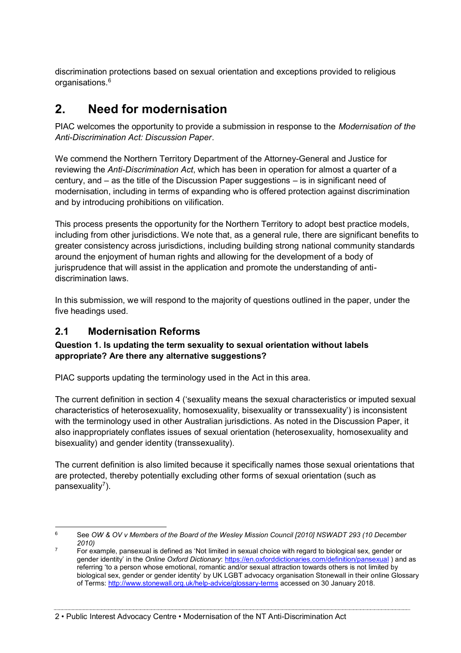discrimination protections based on sexual orientation and exceptions provided to religious organisations.<sup>6</sup>

# **2. Need for modernisation**

PIAC welcomes the opportunity to provide a submission in response to the *Modernisation of the Anti-Discrimination Act: Discussion Paper*.

We commend the Northern Territory Department of the Attorney-General and Justice for reviewing the *Anti-Discrimination Act*, which has been in operation for almost a quarter of a century, and – as the title of the Discussion Paper suggestions – is in significant need of modernisation, including in terms of expanding who is offered protection against discrimination and by introducing prohibitions on vilification.

This process presents the opportunity for the Northern Territory to adopt best practice models, including from other jurisdictions. We note that, as a general rule, there are significant benefits to greater consistency across jurisdictions, including building strong national community standards around the enjoyment of human rights and allowing for the development of a body of jurisprudence that will assist in the application and promote the understanding of antidiscrimination laws.

In this submission, we will respond to the majority of questions outlined in the paper, under the five headings used.

## **2.1 Modernisation Reforms**

#### **Question 1. Is updating the term sexuality to sexual orientation without labels appropriate? Are there any alternative suggestions?**

PIAC supports updating the terminology used in the Act in this area.

The current definition in section 4 ('sexuality means the sexual characteristics or imputed sexual characteristics of heterosexuality, homosexuality, bisexuality or transsexuality') is inconsistent with the terminology used in other Australian jurisdictions. As noted in the Discussion Paper, it also inappropriately conflates issues of sexual orientation (heterosexuality, homosexuality and bisexuality) and gender identity (transsexuality).

The current definition is also limited because it specifically names those sexual orientations that are protected, thereby potentially excluding other forms of sexual orientation (such as pansexuality $7$ ).

 <sup>6</sup> See *OW & OV v Members of the Board of the Wesley Mission Council [2010] NSWADT 293 (10 December 2010)*

 $7$  For example, pansexual is defined as 'Not limited in sexual choice with regard to biological sex, gender or gender identity' in the *Online Oxford Dictionary*:<https://en.oxforddictionaries.com/definition/pansexual> ) and as referring 'to a person whose emotional, romantic and/or sexual attraction towards others is not limited by biological sex, gender or gender identity' by UK LGBT advocacy organisation Stonewall in their online Glossary of Terms:<http://www.stonewall.org.uk/help-advice/glossary-terms> accessed on 30 January 2018.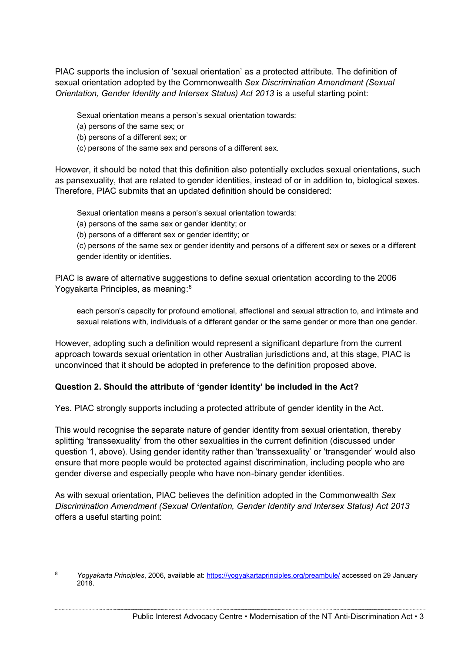PIAC supports the inclusion of 'sexual orientation' as a protected attribute. The definition of sexual orientation adopted by the Commonwealth *Sex Discrimination Amendment (Sexual Orientation, Gender Identity and Intersex Status) Act 2013* is a useful starting point:

Sexual orientation means a person's sexual orientation towards:

- (a) persons of the same sex; or
- (b) persons of a different sex; or
- (c) persons of the same sex and persons of a different sex.

However, it should be noted that this definition also potentially excludes sexual orientations, such as pansexuality, that are related to gender identities, instead of or in addition to, biological sexes. Therefore, PIAC submits that an updated definition should be considered:

Sexual orientation means a person's sexual orientation towards:

(a) persons of the same sex or gender identity; or

(b) persons of a different sex or gender identity; or

(c) persons of the same sex or gender identity and persons of a different sex or sexes or a different gender identity or identities.

PIAC is aware of alternative suggestions to define sexual orientation according to the 2006 Yogyakarta Principles, as meaning:<sup>8</sup>

each person's capacity for profound emotional, affectional and sexual attraction to, and intimate and sexual relations with, individuals of a different gender or the same gender or more than one gender.

However, adopting such a definition would represent a significant departure from the current approach towards sexual orientation in other Australian jurisdictions and, at this stage, PIAC is unconvinced that it should be adopted in preference to the definition proposed above.

#### **Question 2. Should the attribute of 'gender identity' be included in the Act?**

Yes. PIAC strongly supports including a protected attribute of gender identity in the Act.

This would recognise the separate nature of gender identity from sexual orientation, thereby splitting 'transsexuality' from the other sexualities in the current definition (discussed under question 1, above). Using gender identity rather than 'transsexuality' or 'transgender' would also ensure that more people would be protected against discrimination, including people who are gender diverse and especially people who have non-binary gender identities.

As with sexual orientation, PIAC believes the definition adopted in the Commonwealth *Sex Discrimination Amendment (Sexual Orientation, Gender Identity and Intersex Status) Act 2013* offers a useful starting point:

 <sup>8</sup> *Yogyakarta Principles*, 2006, available at:<https://yogyakartaprinciples.org/preambule/> accessed on 29 January 2018.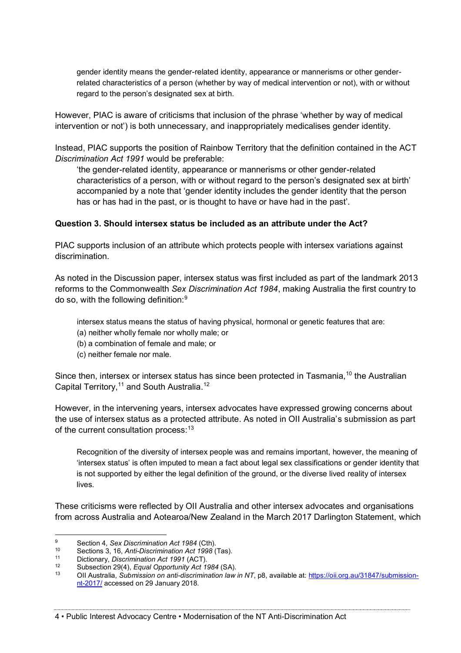gender identity means the gender-related identity, appearance or mannerisms or other genderrelated characteristics of a person (whether by way of medical intervention or not), with or without regard to the person's designated sex at birth.

However, PIAC is aware of criticisms that inclusion of the phrase 'whether by way of medical intervention or not') is both unnecessary, and inappropriately medicalises gender identity.

Instead, PIAC supports the position of Rainbow Territory that the definition contained in the ACT *Discrimination Act 1991* would be preferable:

'the gender-related identity, appearance or mannerisms or other gender-related characteristics of a person, with or without regard to the person's designated sex at birth' accompanied by a note that 'gender identity includes the gender identity that the person has or has had in the past, or is thought to have or have had in the past'.

#### **Question 3. Should intersex status be included as an attribute under the Act?**

PIAC supports inclusion of an attribute which protects people with intersex variations against discrimination.

As noted in the Discussion paper, intersex status was first included as part of the landmark 2013 reforms to the Commonwealth *Sex Discrimination Act 1984*, making Australia the first country to do so, with the following definition:9

intersex status means the status of having physical, hormonal or genetic features that are:

- (a) neither wholly female nor wholly male; or
- (b) a combination of female and male; or
- (c) neither female nor male.

Since then, intersex or intersex status has since been protected in Tasmania,<sup>10</sup> the Australian Capital Territory,<sup>11</sup> and South Australia.<sup>12</sup>

However, in the intervening years, intersex advocates have expressed growing concerns about the use of intersex status as a protected attribute. As noted in OII Australia's submission as part of the current consultation process:<sup>13</sup>

Recognition of the diversity of intersex people was and remains important, however, the meaning of 'intersex status' is often imputed to mean a fact about legal sex classifications or gender identity that is not supported by either the legal definition of the ground, or the diverse lived reality of intersex lives.

These criticisms were reflected by OII Australia and other intersex advocates and organisations from across Australia and Aotearoa/New Zealand in the March 2017 Darlington Statement, which

4 • Public Interest Advocacy Centre • Modernisation of the NT Anti-Discrimination Act

 <sup>9</sup> Section 4, *Sex Discrimination Act 1984* (Cth).

<sup>10</sup> Sections 3, 16, *Anti-Discrimination Act 1998* (Tas).

<sup>11</sup> Dictionary, *Discrimination Act 1991* (ACT).

<sup>12</sup> Subsection 29(4), *Equal Opportunity Act 1984* (SA).

<sup>13</sup> OII Australia, *Submission on anti-discrimination law in NT*, p8, available at: [https://oii.org.au/31847/submission](https://oii.org.au/31847/submission-nt-2017/)[nt-2017/](https://oii.org.au/31847/submission-nt-2017/) accessed on 29 January 2018.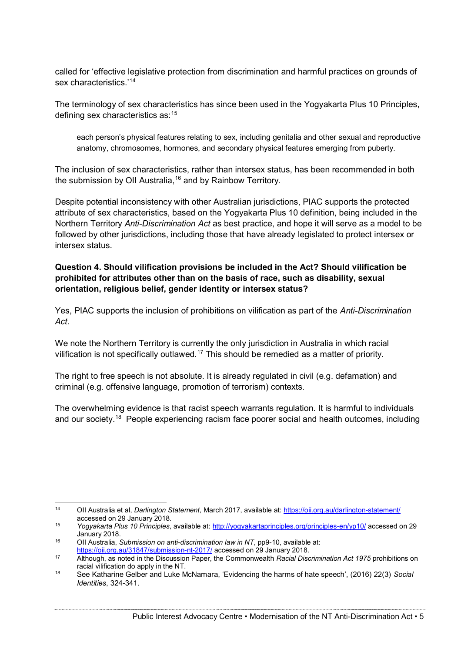called for 'effective legislative protection from discrimination and harmful practices on grounds of sex characteristics.'<sup>14</sup>

The terminology of sex characteristics has since been used in the Yogyakarta Plus 10 Principles, defining sex characteristics as:15

each person's physical features relating to sex, including genitalia and other sexual and reproductive anatomy, chromosomes, hormones, and secondary physical features emerging from puberty.

The inclusion of sex characteristics, rather than intersex status, has been recommended in both the submission by OII Australia,<sup>16</sup> and by Rainbow Territory.

Despite potential inconsistency with other Australian jurisdictions, PIAC supports the protected attribute of sex characteristics, based on the Yogyakarta Plus 10 definition, being included in the Northern Territory *Anti-Discrimination Act* as best practice, and hope it will serve as a model to be followed by other jurisdictions, including those that have already legislated to protect intersex or intersex status.

#### **Question 4. Should vilification provisions be included in the Act? Should vilification be prohibited for attributes other than on the basis of race, such as disability, sexual orientation, religious belief, gender identity or intersex status?**

Yes, PIAC supports the inclusion of prohibitions on vilification as part of the *Anti-Discrimination Act*.

We note the Northern Territory is currently the only jurisdiction in Australia in which racial vilification is not specifically outlawed.<sup>17</sup> This should be remedied as a matter of priority.

The right to free speech is not absolute. It is already regulated in civil (e.g. defamation) and criminal (e.g. offensive language, promotion of terrorism) contexts.

The overwhelming evidence is that racist speech warrants regulation. It is harmful to individuals and our society.<sup>18</sup> People experiencing racism face poorer social and health outcomes, including

 <sup>14</sup> OII Australia et al, *Darlington Statement*, March 2017, available at:<https://oii.org.au/darlington-statement/> accessed on 29 January 2018.

<sup>15</sup> *Yogyakarta Plus 10 Principles*, available at:<http://yogyakartaprinciples.org/principles-en/yp10/> accessed on 29 January 2018.

<sup>16</sup> OII Australia, *Submission on anti-discrimination law in NT*, pp9-10, available at:

<https://oii.org.au/31847/submission-nt-2017/> accessed on 29 January 2018.

<sup>17</sup> Although, as noted in the Discussion Paper, the Commonwealth *Racial Discrimination Act 1975* prohibitions on racial vilification do apply in the NT.

<sup>18</sup> See Katharine Gelber and Luke McNamara, 'Evidencing the harms of hate speech', (2016) 22(3) *Social Identities*, 324-341.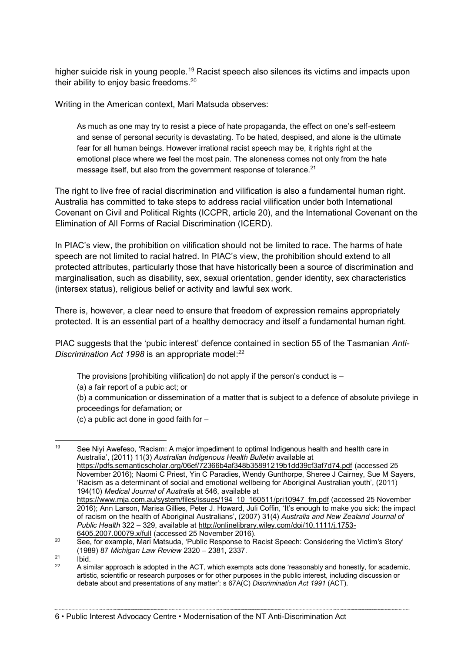higher suicide risk in young people.<sup>19</sup> Racist speech also silences its victims and impacts upon their ability to enjoy basic freedoms.<sup>20</sup>

Writing in the American context, Mari Matsuda observes:

As much as one may try to resist a piece of hate propaganda, the effect on one's self-esteem and sense of personal security is devastating. To be hated, despised, and alone is the ultimate fear for all human beings. However irrational racist speech may be, it rights right at the emotional place where we feel the most pain. The aloneness comes not only from the hate message itself, but also from the government response of tolerance.<sup>21</sup>

The right to live free of racial discrimination and vilification is also a fundamental human right. Australia has committed to take steps to address racial vilification under both International Covenant on Civil and Political Rights (ICCPR, article 20), and the International Covenant on the Elimination of All Forms of Racial Discrimination (ICERD).

In PIAC's view, the prohibition on vilification should not be limited to race. The harms of hate speech are not limited to racial hatred. In PIAC's view, the prohibition should extend to all protected attributes, particularly those that have historically been a source of discrimination and marginalisation, such as disability, sex, sexual orientation, gender identity, sex characteristics (intersex status), religious belief or activity and lawful sex work.

There is, however, a clear need to ensure that freedom of expression remains appropriately protected. It is an essential part of a healthy democracy and itself a fundamental human right.

PIAC suggests that the 'pubic interest' defence contained in section 55 of the Tasmanian *Anti-Discrimination Act 1998* is an appropriate model: 22

The provisions [prohibiting vilification] do not apply if the person's conduct is  $-$ 

(a) a fair report of a pubic act; or

(b) a communication or dissemination of a matter that is subject to a defence of absolute privilege in proceedings for defamation; or

(c) a public act done in good faith for –

<sup>19</sup> See Nivi Awefeso, 'Racism: A major impediment to optimal Indigenous health and health care in Australia', (2011) 11(3) *Australian Indigenous Health Bulletin* available at <https://pdfs.semanticscholar.org/06ef/72366b4af348b35891219b1dd39cf3af7d74.pdf> (accessed 25 November 2016); Naomi C Priest, Yin C Paradies, Wendy Gunthorpe, Sheree J Cairney, Sue M Sayers, 'Racism as a determinant of social and emotional wellbeing for Aboriginal Australian youth', (2011) 194(10) *Medical Journal of Australia* at 546, available at [https://www.mja.com.au/system/files/issues/194\\_10\\_160511/pri10947\\_fm.pdf](https://www.mja.com.au/system/files/issues/194_10_160511/pri10947_fm.pdf) (accessed 25 November 2016); Ann Larson, Marisa Gillies, Peter J. Howard, Juli Coffin, 'It's enough to make you sick: the impact of racism on the health of Aboriginal Australians', (2007) 31(4) *Australia and New Zealand Journal of Public Health* 322 – 329, available at [http://onlinelibrary.wiley.com/doi/10.1111/j.1753-](http://onlinelibrary.wiley.com/doi/10.1111/j.1753-6405.2007.00079.x/full) [6405.2007.00079.x/full](http://onlinelibrary.wiley.com/doi/10.1111/j.1753-6405.2007.00079.x/full) (accessed 25 November 2016).

<sup>&</sup>lt;sup>20</sup> See, for example, Mari Matsuda, 'Public Response to Racist Speech: Considering the Victim's Story' (1989) 87 *Michigan Law Review* 2320 – 2381, 2337.

<sup>21</sup> Ibid.<br>
22 A similar approach is adopted in the ACT, which exempts acts done 'reasonably and honestly, for academic, artistic, scientific or research purposes or for other purposes in the public interest, including discussion or debate about and presentations of any matter': s 67A(C) *Discrimination Act 1991* (ACT).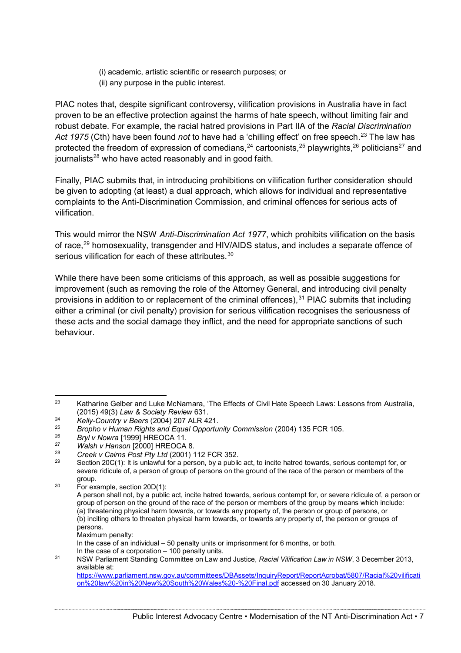- (i) academic, artistic scientific or research purposes; or
- (ii) any purpose in the public interest.

PIAC notes that, despite significant controversy, vilification provisions in Australia have in fact proven to be an effective protection against the harms of hate speech, without limiting fair and robust debate. For example, the racial hatred provisions in Part IIA of the *Racial Discrimination*  Act 1975 (Cth) have been found *not* to have had a 'chilling effect' on free speech.<sup>23</sup> The law has protected the freedom of expression of comedians,<sup>24</sup> cartoonists,<sup>25</sup> playwrights,<sup>26</sup> politicians<sup>27</sup> and journalists<sup>28</sup> who have acted reasonably and in good faith.

Finally, PIAC submits that, in introducing prohibitions on vilification further consideration should be given to adopting (at least) a dual approach, which allows for individual and representative complaints to the Anti-Discrimination Commission, and criminal offences for serious acts of vilification.

This would mirror the NSW *Anti-Discrimination Act 1977*, which prohibits vilification on the basis of race,29 homosexuality, transgender and HIV/AIDS status, and includes a separate offence of serious vilification for each of these attributes.<sup>30</sup>

While there have been some criticisms of this approach, as well as possible suggestions for improvement (such as removing the role of the Attorney General, and introducing civil penalty provisions in addition to or replacement of the criminal offences),  $31$  PIAC submits that including either a criminal (or civil penalty) provision for serious vilification recognises the seriousness of these acts and the social damage they inflict, and the need for appropriate sanctions of such behaviour.

 $30$  For example, section 20D(1):

Maximum penalty:

<sup>&</sup>lt;sup>23</sup> Katharine Gelber and Luke McNamara, 'The Effects of Civil Hate Speech Laws: Lessons from Australia, (2015) 49(3) *Law & Society Review* 631.

<sup>24</sup> *Kelly-Country v Beers* (2004) 207 ALR 421.

<sup>25</sup> *Bropho v Human Rights and Equal Opportunity Commission* (2004) 135 FCR 105.

<sup>26</sup> *Bryl v Nowra* [1999] HREOCA 11.

<sup>27</sup> *Walsh v Hanson* [2000] HREOCA 8.

<sup>28</sup> *Creek v Cairns Post Pty Ltd* (2001) 112 FCR 352.

Section 20C(1): It is unlawful for a person, by a public act, to incite hatred towards, serious contempt for, or severe ridicule of, a person of group of persons on the ground of the race of the person or members of the group.

A person shall not, by a public act, incite hatred towards, serious contempt for, or severe ridicule of, a person or group of person on the ground of the race of the person or members of the group by means which include: (a) threatening physical harm towards, or towards any property of, the person or group of persons, or (b) inciting others to threaten physical harm towards, or towards any property of, the person or groups of persons.

In the case of an individual – 50 penalty units or imprisonment for 6 months, or both. In the case of a corporation – 100 penalty units.

<sup>31</sup> NSW Parliament Standing Committee on Law and Justice, *Racial Vilification Law in NSW*, 3 December 2013, available at: [https://www.parliament.nsw.gov.au/committees/DBAssets/InquiryReport/ReportAcrobat/5807/Racial%20vilificati](https://www.parliament.nsw.gov.au/committees/DBAssets/InquiryReport/ReportAcrobat/5807/Racial%20vilification%20law%20in%20New%20South%20Wales%20-%20Final.pdf)

[on%20law%20in%20New%20South%20Wales%20-%20Final.pdf](https://www.parliament.nsw.gov.au/committees/DBAssets/InquiryReport/ReportAcrobat/5807/Racial%20vilification%20law%20in%20New%20South%20Wales%20-%20Final.pdf) accessed on 30 January 2018.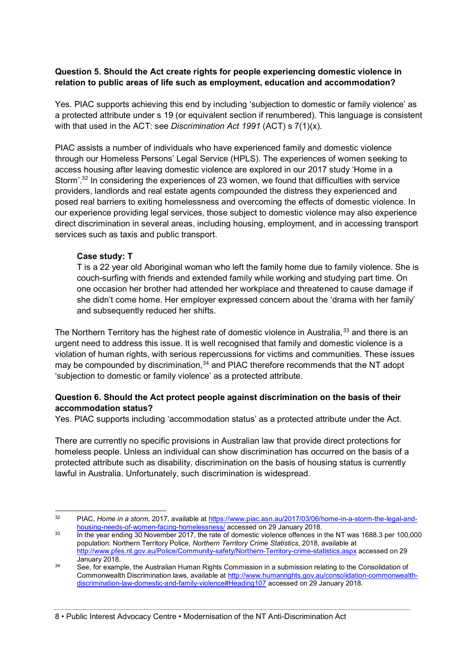#### **Question 5. Should the Act create rights for people experiencing domestic violence in relation to public areas of life such as employment, education and accommodation?**

Yes. PIAC supports achieving this end by including 'subjection to domestic or family violence' as a protected attribute under s 19 (or equivalent section if renumbered). This language is consistent with that used in the ACT: see *Discrimination Act 1991* (ACT) s 7(1)(x).

PIAC assists a number of individuals who have experienced family and domestic violence through our Homeless Persons' Legal Service (HPLS). The experiences of women seeking to access housing after leaving domestic violence are explored in our 2017 study 'Home in a Storm'.<sup>32</sup> In considering the experiences of 23 women, we found that difficulties with service providers, landlords and real estate agents compounded the distress they experienced and posed real barriers to exiting homelessness and overcoming the effects of domestic violence. In our experience providing legal services, those subject to domestic violence may also experience direct discrimination in several areas, including housing, employment, and in accessing transport services such as taxis and public transport.

#### **Case study: T**

T is a 22 year old Aboriginal woman who left the family home due to family violence. She is couch-surfing with friends and extended family while working and studying part time. On one occasion her brother had attended her workplace and threatened to cause damage if she didn't come home. Her employer expressed concern about the 'drama with her family' and subsequently reduced her shifts.

The Northern Territory has the highest rate of domestic violence in Australia,<sup>33</sup> and there is an urgent need to address this issue. It is well recognised that family and domestic violence is a violation of human rights, with serious repercussions for victims and communities. These issues may be compounded by discrimination,<sup>34</sup> and PIAC therefore recommends that the NT adopt 'subjection to domestic or family violence' as a protected attribute.

#### **Question 6. Should the Act protect people against discrimination on the basis of their accommodation status?**

Yes. PIAC supports including 'accommodation status' as a protected attribute under the Act.

There are currently no specific provisions in Australian law that provide direct protections for homeless people. Unless an individual can show discrimination has occurred on the basis of a protected attribute such as disability, discrimination on the basis of housing status is currently lawful in Australia. Unfortunately, such discrimination is widespread.

 <sup>32</sup> PIAC, *Home in a storm*, 2017, available at [https://www.piac.asn.au/2017/03/06/home-in-a-storm-the-legal-and](https://www.piac.asn.au/2017/03/06/home-in-a-storm-the-legal-and-housing-needs-of-women-facing-homelessness/)[housing-needs-of-women-facing-homelessness/](https://www.piac.asn.au/2017/03/06/home-in-a-storm-the-legal-and-housing-needs-of-women-facing-homelessness/) accessed on 29 January 2018.

<sup>&</sup>lt;sup>33</sup> In the year ending 30 November 2017, the rate of domestic violence offences in the NT was 1688.3 per 100,000 population: Northern Territory Police, *Northern Territory Crime Statistics*, 2018, available at <http://www.pfes.nt.gov.au/Police/Community-safety/Northern-Territory-crime-statistics.aspx> accessed on 29 January 2018.

<sup>&</sup>lt;sup>34</sup> See, for example, the Australian Human Rights Commission in a submission relating to the Consolidation of Commonwealth Discrimination laws, available at [http://www.humanrights.gov.au/consolidation-commonwealth](http://www.humanrights.gov.au/consolidation-commonwealth-discrimination-law-domestic-and-family-violence#Heading107)[discrimination-law-domestic-and-family-violence#Heading107](http://www.humanrights.gov.au/consolidation-commonwealth-discrimination-law-domestic-and-family-violence#Heading107) accessed on 29 January 2018.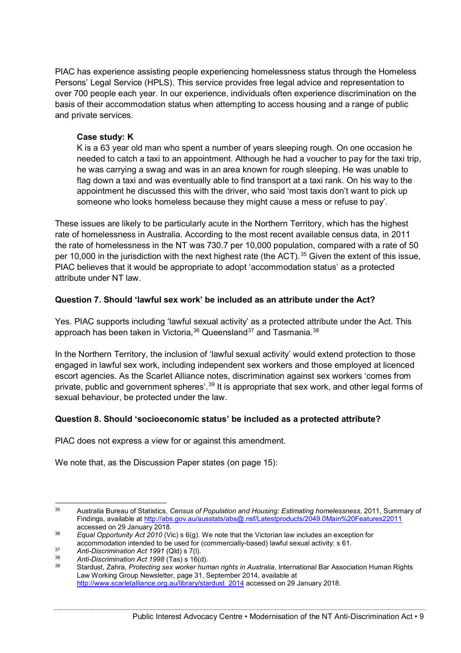PIAC has experience assisting people experiencing homelessness status through the Homeless Persons' Legal Service (HPLS). This service provides free legal advice and representation to over 700 people each year. In our experience, individuals often experience discrimination on the basis of their accommodation status when attempting to access housing and a range of public and private services.

#### **Case study: K**

K is a 63 year old man who spent a number of years sleeping rough. On one occasion he needed to catch a taxi to an appointment. Although he had a voucher to pay for the taxi trip, he was carrying a swag and was in an area known for rough sleeping. He was unable to flag down a taxi and was eventually able to find transport at a taxi rank. On his way to the appointment he discussed this with the driver, who said 'most taxis don't want to pick up someone who looks homeless because they might cause a mess or refuse to pay'.

These issues are likely to be particularly acute in the Northern Territory, which has the highest rate of homelessness in Australia. According to the most recent available census data, in 2011 the rate of homelessness in the NT was 730.7 per 10,000 population, compared with a rate of 50 per 10,000 in the jurisdiction with the next highest rate (the ACT).<sup>35</sup> Given the extent of this issue, PIAC believes that it would be appropriate to adopt 'accommodation status' as a protected attribute under NT law.

#### **Question 7. Should 'lawful sex work' be included as an attribute under the Act?**

Yes. PIAC supports including 'lawful sexual activity' as a protected attribute under the Act. This approach has been taken in Victoria,  $36$  Queensland  $37$  and Tasmania.  $38$ 

In the Northern Territory, the inclusion of 'lawful sexual activity' would extend protection to those engaged in lawful sex work, including independent sex workers and those employed at licenced escort agencies. As the Scarlet Alliance notes, discrimination against sex workers 'comes from private, public and government spheres'.<sup>39</sup> It is appropriate that sex work, and other legal forms of sexual behaviour, be protected under the law.

#### **Question 8. Should 'socioeconomic status' be included as a protected attribute?**

PIAC does not express a view for or against this amendment.

We note that, as the Discussion Paper states (on page 15):

 <sup>35</sup> Australia Bureau of Statistics, *Census of Population and Housing: Estimating homelessness*, 2011, Summary of Findings, available at<http://abs.gov.au/ausstats/abs@.nsf/Latestproducts/2049.0Main%20Features22011> accessed on 29 January 2018.

<sup>36</sup> *Equal Opportunity Act 2010* (Vic) s 6(g). We note that the Victorian law includes an exception for accommodation intended to be used for (commercially-based) lawful sexual activity: s 61.

<sup>37</sup> *Anti-Discrimination Act 1991* (Qld) s 7(l). 38 *Anti-Discrimination Act 1998* (Tas) s 16(d).

<sup>39</sup> Stardust, Zahra, *Protecting sex worker human rights in Australia*, International Bar Association Human Rights Law Working Group Newsletter, page 31, September 2014, available at [http://www.scarletalliance.org.au/library/stardust\\_2014](http://www.scarletalliance.org.au/library/stardust_2014) accessed on 29 January 2018.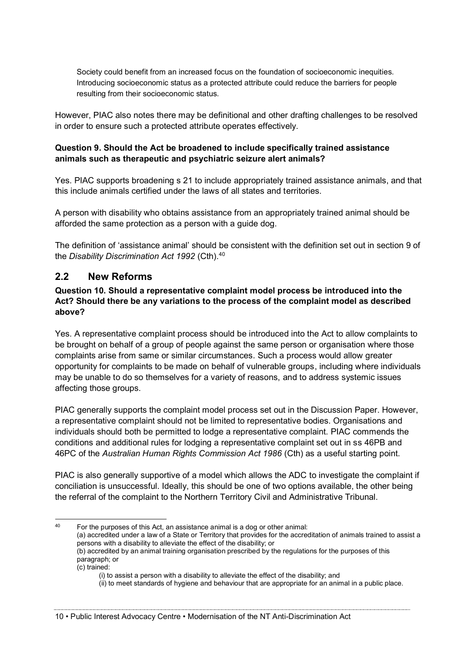Society could benefit from an increased focus on the foundation of socioeconomic inequities. Introducing socioeconomic status as a protected attribute could reduce the barriers for people resulting from their socioeconomic status.

However, PIAC also notes there may be definitional and other drafting challenges to be resolved in order to ensure such a protected attribute operates effectively.

#### **Question 9. Should the Act be broadened to include specifically trained assistance animals such as therapeutic and psychiatric seizure alert animals?**

Yes. PIAC supports broadening s 21 to include appropriately trained assistance animals, and that this include animals certified under the laws of all states and territories.

A person with disability who obtains assistance from an appropriately trained animal should be afforded the same protection as a person with a guide dog.

The definition of 'assistance animal' should be consistent with the definition set out in section 9 of the *Disability Discrimination Act 1992* (Cth).40

### **2.2 New Reforms**

#### **Question 10. Should a representative complaint model process be introduced into the Act? Should there be any variations to the process of the complaint model as described above?**

Yes. A representative complaint process should be introduced into the Act to allow complaints to be brought on behalf of a group of people against the same person or organisation where those complaints arise from same or similar circumstances. Such a process would allow greater opportunity for complaints to be made on behalf of vulnerable groups, including where individuals may be unable to do so themselves for a variety of reasons, and to address systemic issues affecting those groups.

PIAC generally supports the complaint model process set out in the Discussion Paper. However, a representative complaint should not be limited to representative bodies. Organisations and individuals should both be permitted to lodge a representative complaint. PIAC commends the conditions and additional rules for lodging a representative complaint set out in ss 46PB and 46PC of the *Australian Human Rights Commission Act 1986* (Cth) as a useful starting point.

PIAC is also generally supportive of a model which allows the ADC to investigate the complaint if conciliation is unsuccessful. Ideally, this should be one of two options available, the other being the referral of the complaint to the Northern Territory Civil and Administrative Tribunal.

paragraph; or (c) trained:

 <sup>40</sup> For the purposes of this Act, an assistance animal is a dog or other animal: (a) accredited under a law of a State or Territory that provides for the accreditation of animals trained to assist a persons with a disability to alleviate the effect of the disability; or (b) accredited by an animal training organisation prescribed by the regulations for the purposes of this

<sup>(</sup>i) to assist a person with a disability to alleviate the effect of the disability; and (ii) to meet standards of hygiene and behaviour that are appropriate for an animal in a public place.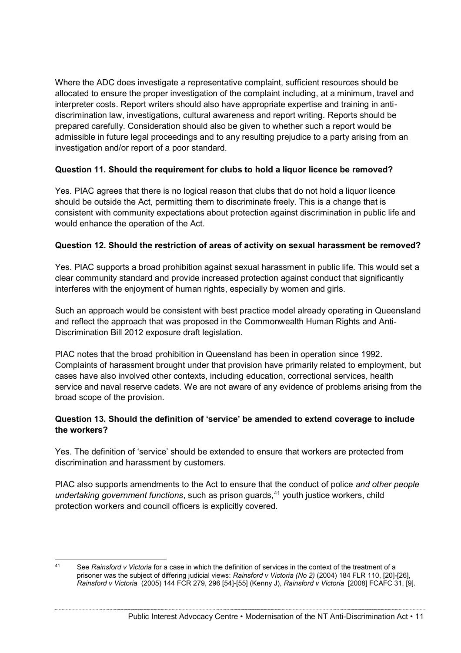Where the ADC does investigate a representative complaint, sufficient resources should be allocated to ensure the proper investigation of the complaint including, at a minimum, travel and interpreter costs. Report writers should also have appropriate expertise and training in antidiscrimination law, investigations, cultural awareness and report writing. Reports should be prepared carefully. Consideration should also be given to whether such a report would be admissible in future legal proceedings and to any resulting prejudice to a party arising from an investigation and/or report of a poor standard.

#### **Question 11. Should the requirement for clubs to hold a liquor licence be removed?**

Yes. PIAC agrees that there is no logical reason that clubs that do not hold a liquor licence should be outside the Act, permitting them to discriminate freely. This is a change that is consistent with community expectations about protection against discrimination in public life and would enhance the operation of the Act.

#### **Question 12. Should the restriction of areas of activity on sexual harassment be removed?**

Yes. PIAC supports a broad prohibition against sexual harassment in public life. This would set a clear community standard and provide increased protection against conduct that significantly interferes with the enjoyment of human rights, especially by women and girls.

Such an approach would be consistent with best practice model already operating in Queensland and reflect the approach that was proposed in the Commonwealth Human Rights and Anti-Discrimination Bill 2012 exposure draft legislation.

PIAC notes that the broad prohibition in Queensland has been in operation since 1992. Complaints of harassment brought under that provision have primarily related to employment, but cases have also involved other contexts, including education, correctional services, health service and naval reserve cadets. We are not aware of any evidence of problems arising from the broad scope of the provision.

#### **Question 13. Should the definition of 'service' be amended to extend coverage to include the workers?**

Yes. The definition of 'service' should be extended to ensure that workers are protected from discrimination and harassment by customers.

PIAC also supports amendments to the Act to ensure that the conduct of police *and other people undertaking government functions*, such as prison guards,<sup>41</sup> youth justice workers, child protection workers and council officers is explicitly covered.

 <sup>41</sup> See *Rainsford v Victoria* for a case in which the definition of services in the context of the treatment of a prisoner was the subject of differing judicial views: *Rainsford v Victoria (No 2)* (2004) 184 FLR 110, [20]-[26], *Rainsford v Victoria* (2005) 144 FCR 279, 296 [54]-[55] (Kenny J), *Rainsford v Victoria* [2008] FCAFC 31, [9].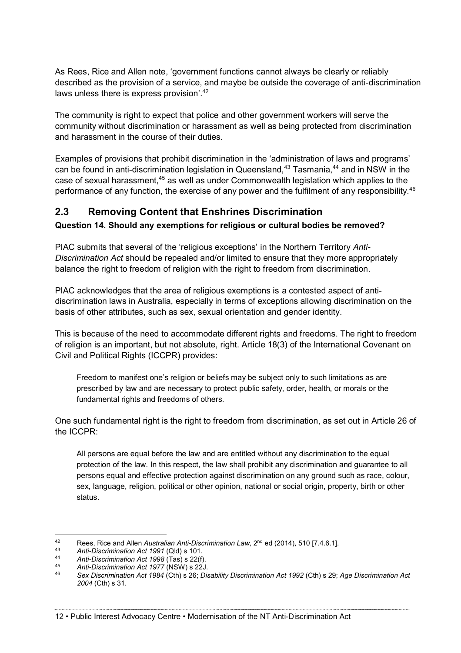As Rees, Rice and Allen note, 'government functions cannot always be clearly or reliably described as the provision of a service, and maybe be outside the coverage of anti-discrimination laws unless there is express provision'.<sup>42</sup>

The community is right to expect that police and other government workers will serve the community without discrimination or harassment as well as being protected from discrimination and harassment in the course of their duties.

Examples of provisions that prohibit discrimination in the 'administration of laws and programs' can be found in anti-discrimination legislation in Queensland,<sup>43</sup> Tasmania,<sup>44</sup> and in NSW in the case of sexual harassment,<sup>45</sup> as well as under Commonwealth legislation which applies to the performance of any function, the exercise of any power and the fulfilment of any responsibility.<sup>46</sup>

### **2.3 Removing Content that Enshrines Discrimination**

#### **Question 14. Should any exemptions for religious or cultural bodies be removed?**

PIAC submits that several of the 'religious exceptions' in the Northern Territory *Anti-Discrimination Act* should be repealed and/or limited to ensure that they more appropriately balance the right to freedom of religion with the right to freedom from discrimination.

PIAC acknowledges that the area of religious exemptions is a contested aspect of antidiscrimination laws in Australia, especially in terms of exceptions allowing discrimination on the basis of other attributes, such as sex, sexual orientation and gender identity.

This is because of the need to accommodate different rights and freedoms. The right to freedom of religion is an important, but not absolute, right. Article 18(3) of the International Covenant on Civil and Political Rights (ICCPR) provides:

Freedom to manifest one's religion or beliefs may be subject only to such limitations as are prescribed by law and are necessary to protect public safety, order, health, or morals or the fundamental rights and freedoms of others.

One such fundamental right is the right to freedom from discrimination, as set out in Article 26 of the ICCPR:

All persons are equal before the law and are entitled without any discrimination to the equal protection of the law. In this respect, the law shall prohibit any discrimination and guarantee to all persons equal and effective protection against discrimination on any ground such as race, colour, sex, language, religion, political or other opinion, national or social origin, property, birth or other status.

12 • Public Interest Advocacy Centre • Modernisation of the NT Anti-Discrimination Act

<sup>42</sup> Rees, Rice and Allen *Australian Anti-Discrimination Law*, 2nd ed (2014), 510 [7.4.6.1]. 43 *Anti-Discrimination Act 1991* (Qld) s 101.

<sup>44</sup> *Anti-Discrimination Act 1998* (Tas) s 22(f).

<sup>45</sup> *Anti-Discrimination Act 1977* (NSW) s 22J.

<sup>46</sup> *Sex Discrimination Act 1984* (Cth) s 26; *Disability Discrimination Act 1992* (Cth) s 29; *Age Discrimination Act 2004* (Cth) s 31.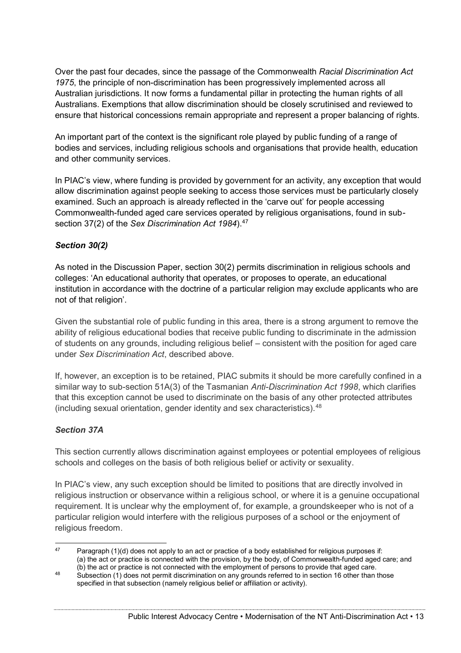Over the past four decades, since the passage of the Commonwealth *Racial Discrimination Act 1975*, the principle of non-discrimination has been progressively implemented across all Australian jurisdictions. It now forms a fundamental pillar in protecting the human rights of all Australians. Exemptions that allow discrimination should be closely scrutinised and reviewed to ensure that historical concessions remain appropriate and represent a proper balancing of rights.

An important part of the context is the significant role played by public funding of a range of bodies and services, including religious schools and organisations that provide health, education and other community services.

In PIAC's view, where funding is provided by government for an activity, any exception that would allow discrimination against people seeking to access those services must be particularly closely examined. Such an approach is already reflected in the 'carve out' for people accessing Commonwealth-funded aged care services operated by religious organisations, found in subsection 37(2) of the *Sex Discrimination Act 1984*).<sup>47</sup>

#### *Section 30(2)*

As noted in the Discussion Paper, section 30(2) permits discrimination in religious schools and colleges: 'An educational authority that operates, or proposes to operate, an educational institution in accordance with the doctrine of a particular religion may exclude applicants who are not of that religion'.

Given the substantial role of public funding in this area, there is a strong argument to remove the ability of religious educational bodies that receive public funding to discriminate in the admission of students on any grounds, including religious belief – consistent with the position for aged care under *Sex Discrimination Act*, described above.

If, however, an exception is to be retained, PIAC submits it should be more carefully confined in a similar way to sub-section 51A(3) of the Tasmanian *Anti-Discrimination Act 1998*, which clarifies that this exception cannot be used to discriminate on the basis of any other protected attributes (including sexual orientation, gender identity and sex characteristics).48

#### *Section 37A*

This section currently allows discrimination against employees or potential employees of religious schools and colleges on the basis of both religious belief or activity or sexuality.

In PIAC's view, any such exception should be limited to positions that are directly involved in religious instruction or observance within a religious school, or where it is a genuine occupational requirement. It is unclear why the employment of, for example, a groundskeeper who is not of a particular religion would interfere with the religious purposes of a school or the enjoyment of religious freedom.

 $47$  Paragraph (1)(d) does not apply to an act or practice of a body established for religious purposes if: (a) the act or practice is connected with the provision, by the body, of Commonwealth-funded aged care; and (b) the act or practice is not connected with the employment of persons to provide that aged care.

<sup>&</sup>lt;sup>48</sup> Subsection (1) does not permit discrimination on any grounds referred to in section 16 other than those specified in that subsection (namely religious belief or affiliation or activity).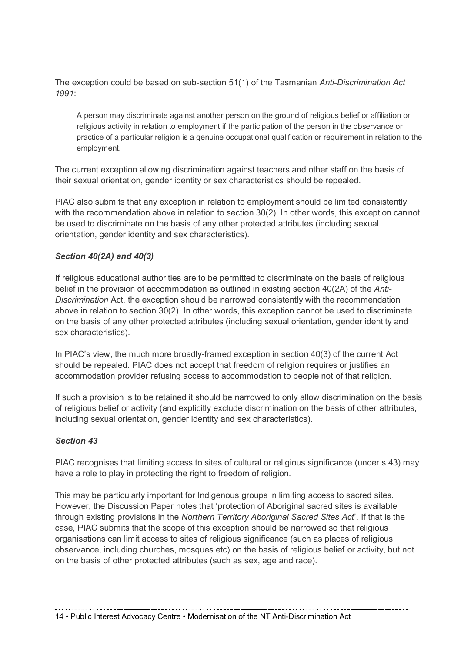The exception could be based on sub-section 51(1) of the Tasmanian *Anti-Discrimination Act 1991*:

A person may discriminate against another person on the ground of religious belief or affiliation or religious activity in relation to employment if the participation of the person in the observance or practice of a particular religion is a genuine occupational qualification or requirement in relation to the employment.

The current exception allowing discrimination against teachers and other staff on the basis of their sexual orientation, gender identity or sex characteristics should be repealed.

PIAC also submits that any exception in relation to employment should be limited consistently with the recommendation above in relation to section 30(2). In other words, this exception cannot be used to discriminate on the basis of any other protected attributes (including sexual orientation, gender identity and sex characteristics).

#### *Section 40(2A) and 40(3)*

If religious educational authorities are to be permitted to discriminate on the basis of religious belief in the provision of accommodation as outlined in existing section 40(2A) of the *Anti-Discrimination* Act, the exception should be narrowed consistently with the recommendation above in relation to section 30(2). In other words, this exception cannot be used to discriminate on the basis of any other protected attributes (including sexual orientation, gender identity and sex characteristics).

In PIAC's view, the much more broadly-framed exception in section 40(3) of the current Act should be repealed. PIAC does not accept that freedom of religion requires or justifies an accommodation provider refusing access to accommodation to people not of that religion.

If such a provision is to be retained it should be narrowed to only allow discrimination on the basis of religious belief or activity (and explicitly exclude discrimination on the basis of other attributes, including sexual orientation, gender identity and sex characteristics).

#### *Section 43*

PIAC recognises that limiting access to sites of cultural or religious significance (under s 43) may have a role to play in protecting the right to freedom of religion.

This may be particularly important for Indigenous groups in limiting access to sacred sites. However, the Discussion Paper notes that 'protection of Aboriginal sacred sites is available through existing provisions in the *Northern Territory Aboriginal Sacred Sites Act*'. If that is the case, PIAC submits that the scope of this exception should be narrowed so that religious organisations can limit access to sites of religious significance (such as places of religious observance, including churches, mosques etc) on the basis of religious belief or activity, but not on the basis of other protected attributes (such as sex, age and race).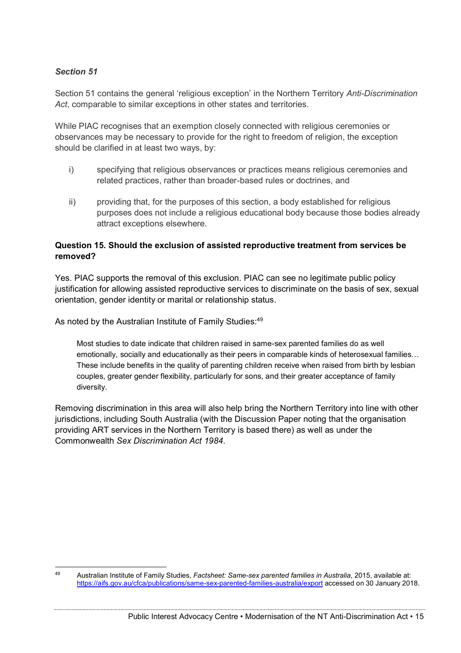#### *Section 51*

Section 51 contains the general 'religious exception' in the Northern Territory *Anti-Discrimination Act*, comparable to similar exceptions in other states and territories.

While PIAC recognises that an exemption closely connected with religious ceremonies or observances may be necessary to provide for the right to freedom of religion, the exception should be clarified in at least two ways, by:

- i) specifying that religious observances or practices means religious ceremonies and related practices, rather than broader-based rules or doctrines, and
- ii) providing that, for the purposes of this section, a body established for religious purposes does not include a religious educational body because those bodies already attract exceptions elsewhere.

#### **Question 15. Should the exclusion of assisted reproductive treatment from services be removed?**

Yes. PIAC supports the removal of this exclusion. PIAC can see no legitimate public policy justification for allowing assisted reproductive services to discriminate on the basis of sex, sexual orientation, gender identity or marital or relationship status.

As noted by the Australian Institute of Family Studies:<sup>49</sup>

Most studies to date indicate that children raised in same-sex parented families do as well emotionally, socially and educationally as their peers in comparable kinds of heterosexual families… These include benefits in the quality of parenting children receive when raised from birth by lesbian couples, greater gender flexibility, particularly for sons, and their greater acceptance of family diversity.

Removing discrimination in this area will also help bring the Northern Territory into line with other jurisdictions, including South Australia (with the Discussion Paper noting that the organisation providing ART services in the Northern Territory is based there) as well as under the Commonwealth *Sex Discrimination Act 1984*.

 <sup>49</sup> Australian Institute of Family Studies, *Factsheet: Same-sex parented families in Australia*, 2015, available at: <https://aifs.gov.au/cfca/publications/same-sex-parented-families-australia/export> accessed on 30 January 2018.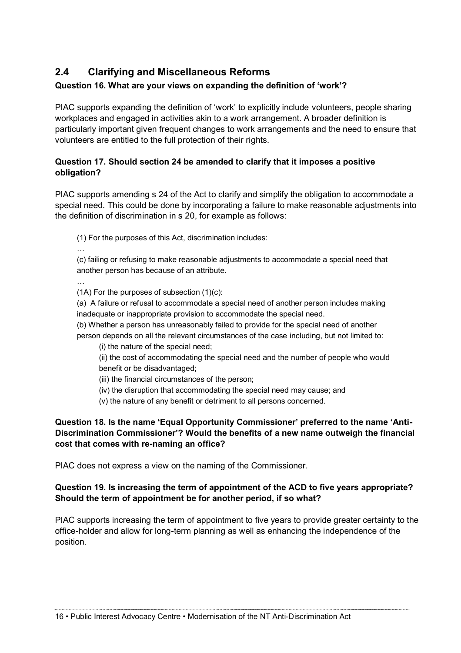### **2.4 Clarifying and Miscellaneous Reforms**

### **Question 16. What are your views on expanding the definition of 'work'?**

PIAC supports expanding the definition of 'work' to explicitly include volunteers, people sharing workplaces and engaged in activities akin to a work arrangement. A broader definition is particularly important given frequent changes to work arrangements and the need to ensure that volunteers are entitled to the full protection of their rights.

#### **Question 17. Should section 24 be amended to clarify that it imposes a positive obligation?**

PIAC supports amending s 24 of the Act to clarify and simplify the obligation to accommodate a special need. This could be done by incorporating a failure to make reasonable adjustments into the definition of discrimination in s 20, for example as follows:

(1) For the purposes of this Act, discrimination includes:

(c) failing or refusing to make reasonable adjustments to accommodate a special need that another person has because of an attribute.

 $(1)$  For the purposes of subsection  $(1)(c)$ :

…

…

(a) A failure or refusal to accommodate a special need of another person includes making inadequate or inappropriate provision to accommodate the special need.

(b) Whether a person has unreasonably failed to provide for the special need of another person depends on all the relevant circumstances of the case including, but not limited to:

(i) the nature of the special need;

(ii) the cost of accommodating the special need and the number of people who would benefit or be disadvantaged;

- (iii) the financial circumstances of the person;
- (iv) the disruption that accommodating the special need may cause; and
- (v) the nature of any benefit or detriment to all persons concerned.

#### **Question 18. Is the name 'Equal Opportunity Commissioner' preferred to the name 'Anti-Discrimination Commissioner'? Would the benefits of a new name outweigh the financial cost that comes with re-naming an office?**

PIAC does not express a view on the naming of the Commissioner.

#### **Question 19. Is increasing the term of appointment of the ACD to five years appropriate? Should the term of appointment be for another period, if so what?**

PIAC supports increasing the term of appointment to five years to provide greater certainty to the office-holder and allow for long-term planning as well as enhancing the independence of the position.